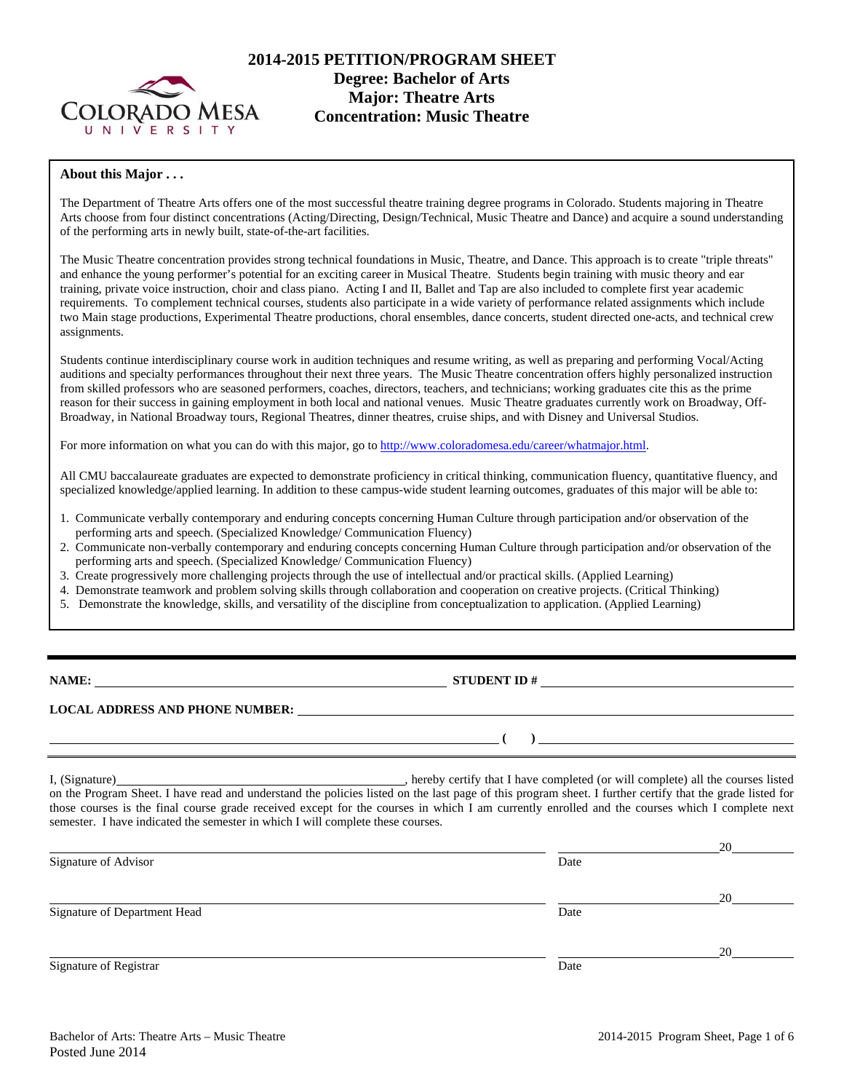

# **2014-2015 PETITION/PROGRAM SHEET Degree: Bachelor of Arts Concentration: Music Theatre**

#### **About this Major . . .**

The Department of Theatre Arts offers one of the most successful theatre training degree programs in Colorado. Students majoring in Theatre Arts choose from four distinct concentrations (Acting/Directing, Design/Technical, Music Theatre and Dance) and acquire a sound understanding of the performing arts in newly built, state-of-the-art facilities.

The Music Theatre concentration provides strong technical foundations in Music, Theatre, and Dance. This approach is to create "triple threats" and enhance the young performer's potential for an exciting career in Musical Theatre. Students begin training with music theory and ear training, private voice instruction, choir and class piano. Acting I and II, Ballet and Tap are also included to complete first year academic requirements. To complement technical courses, students also participate in a wide variety of performance related assignments which include two Main stage productions, Experimental Theatre productions, choral ensembles, dance concerts, student directed one-acts, and technical crew assignments.

Students continue interdisciplinary course work in audition techniques and resume writing, as well as preparing and performing Vocal/Acting auditions and specialty performances throughout their next three years. The Music Theatre concentration offers highly personalized instruction from skilled professors who are seasoned performers, coaches, directors, teachers, and technicians; working graduates cite this as the prime reason for their success in gaining employment in both local and national venues. Music Theatre graduates currently work on Broadway, Off-Broadway, in National Broadway tours, Regional Theatres, dinner theatres, cruise ships, and with Disney and Universal Studios.

For more information on what you can do with this major, go to http://www.coloradomesa.edu/career/whatmajor.html.

All CMU baccalaureate graduates are expected to demonstrate proficiency in critical thinking, communication fluency, quantitative fluency, and specialized knowledge/applied learning. In addition to these campus-wide student learning outcomes, graduates of this major will be able to:

- 1. Communicate verbally contemporary and enduring concepts concerning Human Culture through participation and/or observation of the performing arts and speech. (Specialized Knowledge/ Communication Fluency)
- 2. Communicate non-verbally contemporary and enduring concepts concerning Human Culture through participation and/or observation of the performing arts and speech. (Specialized Knowledge/ Communication Fluency)
- 3. Create progressively more challenging projects through the use of intellectual and/or practical skills. (Applied Learning)
- 4. Demonstrate teamwork and problem solving skills through collaboration and cooperation on creative projects. (Critical Thinking)
- 5. Demonstrate the knowledge, skills, and versatility of the discipline from conceptualization to application. (Applied Learning)

**NAME: STUDENT ID #**

 $($   $)$   $)$   $\frac{$   $($   $)$   $\frac{$   $($   $)$   $($   $)$   $($   $)$   $($   $)$   $($   $)$   $($   $)$   $($   $)$   $($   $)$   $($   $)$   $($   $)$   $($   $)$   $($   $)$   $($   $)$   $($   $)$   $($   $)$   $($   $)$   $($   $)$   $($   $)$   $($   $)$   $($   $)$   $($   $)$   $($   $)$   $($   $)$   $($ 

**LOCAL ADDRESS AND PHONE NUMBER:**

I, (Signature) , hereby certify that I have completed (or will complete) all the courses listed on the Program Sheet. I have read and understand the policies listed on the last page of this program sheet. I further certify that the grade listed for those courses is the final course grade received except for the courses in which I am currently enrolled and the courses which I complete next semester. I have indicated the semester in which I will complete these courses.

|                              |      | 20 |
|------------------------------|------|----|
| Signature of Advisor         | Date |    |
|                              |      | 20 |
| Signature of Department Head | Date |    |
|                              |      | 20 |
| Signature of Registrar       | Date |    |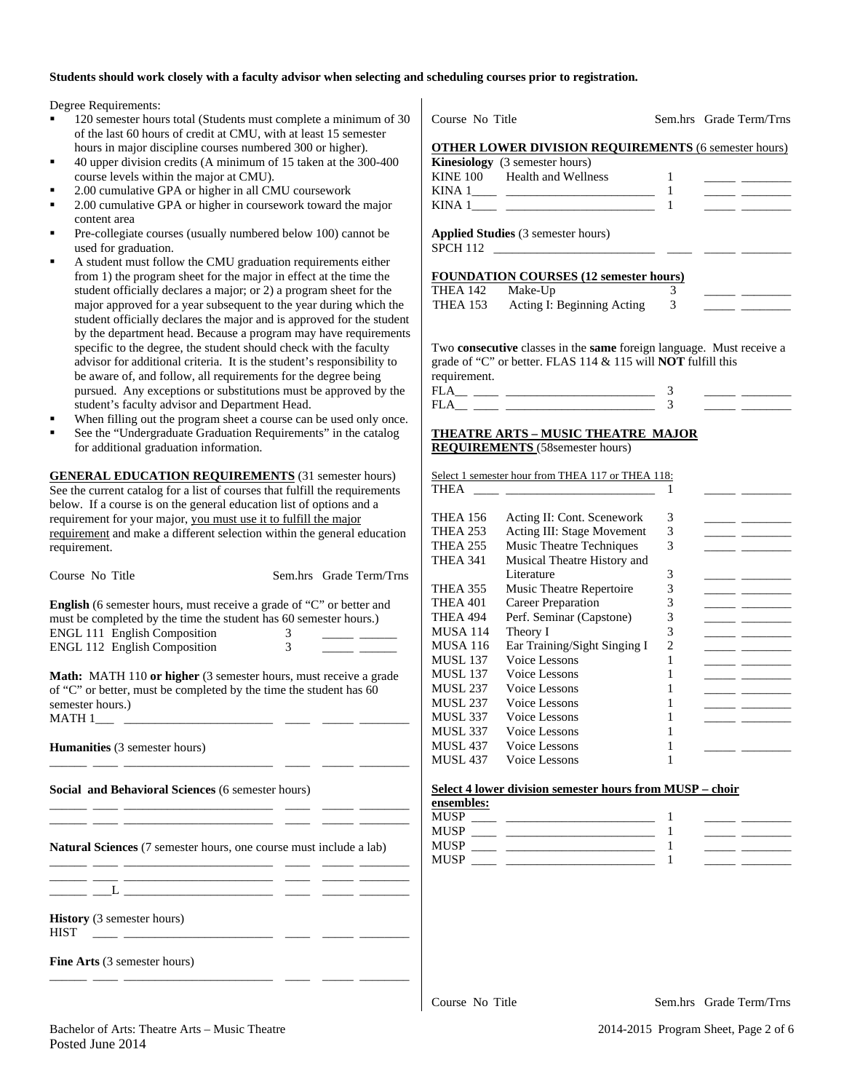#### **Students should work closely with a faculty advisor when selecting and scheduling courses prior to registration.**

Degree Requirements:

- 120 semester hours total (Students must complete a minimum of 30 of the last 60 hours of credit at CMU, with at least 15 semester hours in major discipline courses numbered 300 or higher).
- 40 upper division credits (A minimum of 15 taken at the 300-400 course levels within the major at CMU).
- 2.00 cumulative GPA or higher in all CMU coursework
- 2.00 cumulative GPA or higher in coursework toward the major content area
- Pre-collegiate courses (usually numbered below 100) cannot be used for graduation.
- A student must follow the CMU graduation requirements either from 1) the program sheet for the major in effect at the time the student officially declares a major; or 2) a program sheet for the major approved for a year subsequent to the year during which the student officially declares the major and is approved for the student by the department head. Because a program may have requirements specific to the degree, the student should check with the faculty advisor for additional criteria. It is the student's responsibility to be aware of, and follow, all requirements for the degree being pursued. Any exceptions or substitutions must be approved by the student's faculty advisor and Department Head.
- When filling out the program sheet a course can be used only once.
- See the "Undergraduate Graduation Requirements" in the catalog for additional graduation information.

**GENERAL EDUCATION REQUIREMENTS** (31 semester hours) See the current catalog for a list of courses that fulfill the requirements below. If a course is on the general education list of options and a requirement for your major, you must use it to fulfill the major requirement and make a different selection within the general education requirement.

| Course No Title |
|-----------------|
|                 |

Sem.hrs Grade Term/Trns

**English** (6 semester hours, must receive a grade of "C" or better and must be completed by the time the student has 60 semester hours.) ENGL 111 English Composition 3 \_\_\_\_\_ \_\_\_\_\_\_ ENGL 112 English Composition 3

**Math:** MATH 110 **or higher** (3 semester hours, must receive a grade of "C" or better, must be completed by the time the student has 60 semester hours.) MATH 1\_\_\_ \_\_\_\_\_\_\_\_\_\_\_\_\_\_\_\_\_\_\_\_\_\_\_\_ \_\_\_\_ \_\_\_\_\_ \_\_\_\_\_\_\_\_

\_\_\_\_\_\_ \_\_\_\_ \_\_\_\_\_\_\_\_\_\_\_\_\_\_\_\_\_\_\_\_\_\_\_\_ \_\_\_\_ \_\_\_\_\_ \_\_\_\_\_\_\_\_

\_\_\_\_\_\_ \_\_\_\_ \_\_\_\_\_\_\_\_\_\_\_\_\_\_\_\_\_\_\_\_\_\_\_\_ \_\_\_\_ \_\_\_\_\_ \_\_\_\_\_\_\_\_ \_\_\_\_\_\_ \_\_\_\_ \_\_\_\_\_\_\_\_\_\_\_\_\_\_\_\_\_\_\_\_\_\_\_\_ \_\_\_\_ \_\_\_\_\_ \_\_\_\_\_\_\_\_

\_\_\_\_\_\_ \_\_\_\_ \_\_\_\_\_\_\_\_\_\_\_\_\_\_\_\_\_\_\_\_\_\_\_\_ \_\_\_\_ \_\_\_\_\_ \_\_\_\_\_\_\_\_

**Humanities** (3 semester hours)

**Social and Behavioral Sciences** (6 semester hours)

**Natural Sciences** (7 semester hours, one course must include a lab)

\_\_\_\_\_\_ \_\_\_\_ \_\_\_\_\_\_\_\_\_\_\_\_\_\_\_\_\_\_\_\_\_\_\_\_ \_\_\_\_ \_\_\_\_\_ \_\_\_\_\_\_\_\_ \_\_\_\_\_\_ \_\_\_\_ \_\_\_\_\_\_\_\_\_\_\_\_\_\_\_\_\_\_\_\_\_\_\_\_ \_\_\_\_ \_\_\_\_\_ \_\_\_\_\_\_\_\_  $\_\_\_\_$ 

**History** (3 semester hours)

HIST \_\_\_\_ \_\_\_\_\_\_\_\_\_\_\_\_\_\_\_\_\_\_\_\_\_\_\_\_ \_\_\_\_ \_\_\_\_\_ \_\_\_\_\_\_\_\_

**Fine Arts** (3 semester hours)

| Course No Title |                                                                                                                                                             |                | Sem.hrs Grade Term/Trns                               |
|-----------------|-------------------------------------------------------------------------------------------------------------------------------------------------------------|----------------|-------------------------------------------------------|
|                 | <b>OTHER LOWER DIVISION REQUIREMENTS (6 semester hours)</b>                                                                                                 |                |                                                       |
|                 | Kinesiology (3 semester hours)                                                                                                                              |                |                                                       |
| <b>KINE 100</b> | <b>Health and Wellness</b>                                                                                                                                  | 1              |                                                       |
|                 |                                                                                                                                                             | 1              |                                                       |
|                 |                                                                                                                                                             | 1              |                                                       |
| <b>SPCH 112</b> | Applied Studies (3 semester hours)<br><u> 1980 - Jan James James James James James James James James James James James James James James James James Ja</u> |                |                                                       |
|                 | <b>FOUNDATION COURSES (12 semester hours)</b>                                                                                                               |                |                                                       |
| THEA 142        | Make-Up                                                                                                                                                     | 3              |                                                       |
| <b>THEA 153</b> | Acting I: Beginning Acting                                                                                                                                  | 3              |                                                       |
|                 |                                                                                                                                                             |                |                                                       |
|                 | Two consecutive classes in the same foreign language. Must receive a<br>grade of "C" or better. FLAS 114 & 115 will <b>NOT</b> fulfill this                 |                |                                                       |
| requirement.    |                                                                                                                                                             |                |                                                       |
|                 |                                                                                                                                                             | 3              |                                                       |
|                 |                                                                                                                                                             | 3              |                                                       |
|                 |                                                                                                                                                             |                | $\ddot{\phantom{0}}$                                  |
|                 | <b>THEATRE ARTS - MUSIC THEATRE MAJOR</b><br><b>REQUIREMENTS</b> (58 semester hours)<br>Select 1 semester hour from THEA 117 or THEA 118:                   |                |                                                       |
|                 |                                                                                                                                                             | 1              |                                                       |
| <b>THEA 156</b> | Acting II: Cont. Scenework                                                                                                                                  | 3              |                                                       |
| <b>THEA 253</b> | Acting III: Stage Movement                                                                                                                                  | 3              |                                                       |
| <b>THEA 255</b> | <b>Music Theatre Techniques</b>                                                                                                                             | 3              |                                                       |
| <b>THEA 341</b> | Musical Theatre History and                                                                                                                                 |                |                                                       |
|                 | Literature                                                                                                                                                  | 3              |                                                       |
| THEA 355        | Music Theatre Repertoire                                                                                                                                    | 3              | $\overline{\phantom{a}}$ and $\overline{\phantom{a}}$ |
| THEA 401        | Career Preparation                                                                                                                                          | 3              |                                                       |
| THEA 494        | Perf. Seminar (Capstone)                                                                                                                                    | 3              |                                                       |
| <b>MUSA 114</b> | Theory I                                                                                                                                                    | 3              |                                                       |
| <b>MUSA 116</b> | Ear Training/Sight Singing I                                                                                                                                | $\overline{c}$ | $\overline{\phantom{a}}$ and $\overline{\phantom{a}}$ |
| <b>MUSL 137</b> | <b>Voice Lessons</b>                                                                                                                                        | 1              |                                                       |
| <b>MUSL 137</b> | <b>Voice Lessons</b>                                                                                                                                        | 1              |                                                       |
| <b>MUSL 237</b> | <b>Voice Lessons</b>                                                                                                                                        | 1              | $\overline{a}$ $\overline{a}$                         |
| <b>MUSL 237</b> | <b>Voice Lessons</b>                                                                                                                                        | 1              |                                                       |
| <b>MUSL 337</b> | <b>Voice Lessons</b>                                                                                                                                        | 1              |                                                       |
| <b>MUSL 337</b> | <b>Voice Lessons</b>                                                                                                                                        | 1              |                                                       |
| <b>MUSL 437</b> | Voice Lessons                                                                                                                                               | 1              |                                                       |
| <b>MUSL 437</b> | Voice Lessons                                                                                                                                               | 1              |                                                       |
|                 |                                                                                                                                                             |                |                                                       |
|                 | Select 4 lower division semester hours from MUSP - choir                                                                                                    |                |                                                       |

| ensembles:  |  |  |
|-------------|--|--|
| <b>MUSP</b> |  |  |
| <b>MUSP</b> |  |  |
| <b>MUSP</b> |  |  |
| <b>MUSP</b> |  |  |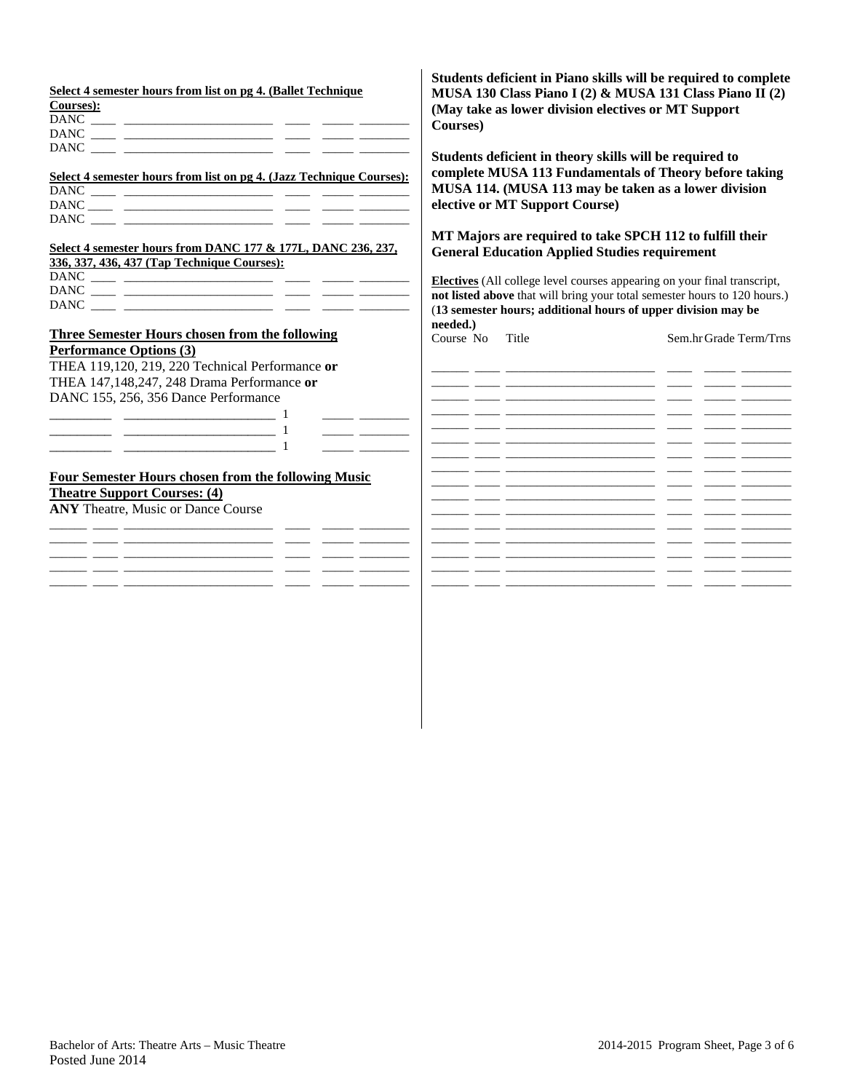| Select 4 semester hours from list on pg 4. (Ballet Technique<br>Courses):                                                                                                                                                                                                | Students deficient in Piano skills will be required to complete<br>MUSA 130 Class Piano I (2) & MUSA 131 Class Piano II (2)<br>(May take as lower division electives or MT Support<br>Courses)                                                                                                                                                                |
|--------------------------------------------------------------------------------------------------------------------------------------------------------------------------------------------------------------------------------------------------------------------------|---------------------------------------------------------------------------------------------------------------------------------------------------------------------------------------------------------------------------------------------------------------------------------------------------------------------------------------------------------------|
| Select 4 semester hours from list on pg 4. (Jazz Technique Courses):                                                                                                                                                                                                     | Students deficient in theory skills will be required to<br>complete MUSA 113 Fundamentals of Theory before taking<br>MUSA 114. (MUSA 113 may be taken as a lower division<br>elective or MT Support Course)                                                                                                                                                   |
| Select 4 semester hours from DANC 177 & 177L, DANC 236, 237,<br>336, 337, 436, 437 (Tap Technique Courses):                                                                                                                                                              | MT Majors are required to take SPCH 112 to fulfill their<br><b>General Education Applied Studies requirement</b><br><b>Electives</b> (All college level courses appearing on your final transcript,<br>not listed above that will bring your total semester hours to 120 hours.)<br>(13 semester hours; additional hours of upper division may be<br>needed.) |
| <b>Three Semester Hours chosen from the following</b><br><b>Performance Options (3)</b><br>THEA 119,120, 219, 220 Technical Performance or<br>THEA 147,148,247, 248 Drama Performance or<br>DANC 155, 256, 356 Dance Performance<br><u> 1989 - Johann Barbara, martx</u> | Course No<br>Title<br>Sem.hr Grade Term/Trns<br><u> 1988 - Andrea San Andrew Maria (h. 1988).</u><br><u> 1989 - John Harrison, mars eta inperiodo eta inperiodo eta inperiodo eta inperiodo eta inperiodo eta inperiod</u><br><u> 1990 - Jan James James Sandar (h. 1980).</u>                                                                                |
| Four Semester Hours chosen from the following Music<br><b>Theatre Support Courses: (4)</b><br><b>ANY</b> Theatre, Music or Dance Course                                                                                                                                  | <u> 1988 - Andrea San Andrew Maria (h. 1988).</u>                                                                                                                                                                                                                                                                                                             |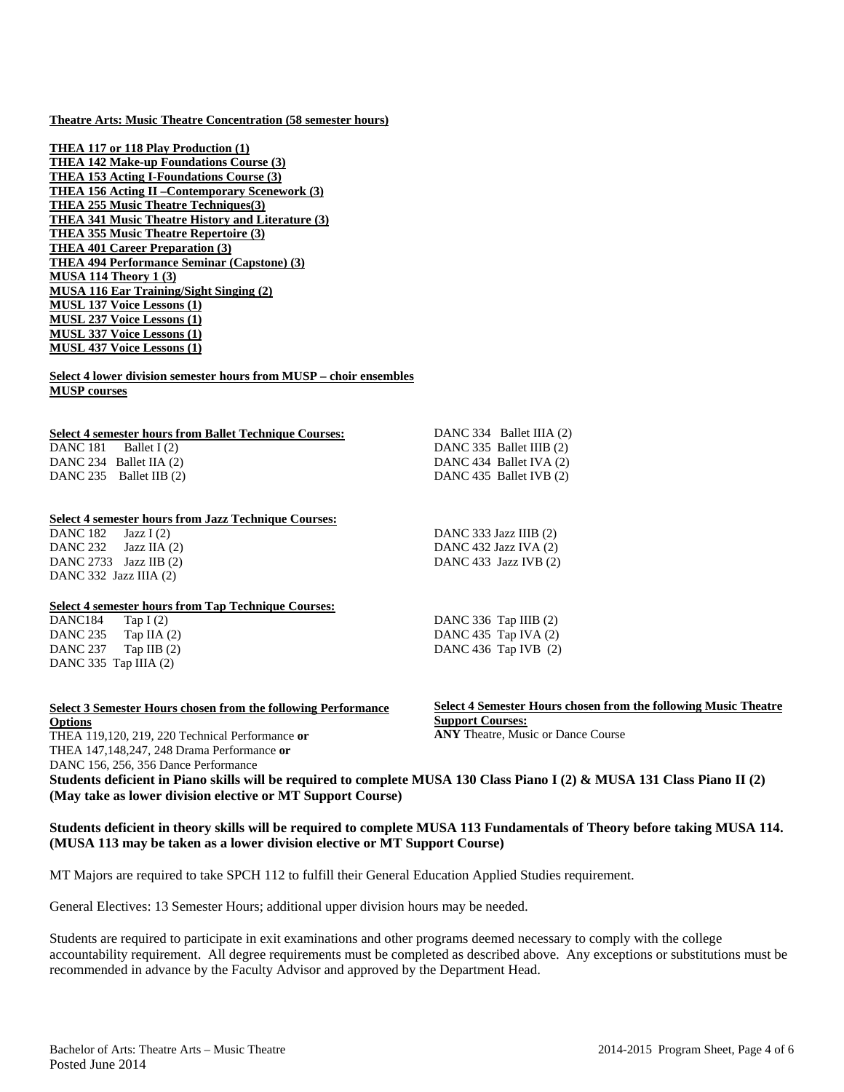#### **Theatre Arts: Music Theatre Concentration (58 semester hours)**

**THEA 117 or 118 Play Production (1) THEA 142 Make-up Foundations Course (3) THEA 153 Acting I-Foundations Course (3) THEA 156 Acting II –Contemporary Scenework (3) THEA 255 Music Theatre Techniques(3) THEA 341 Music Theatre History and Literature (3) THEA 355 Music Theatre Repertoire (3) THEA 401 Career Preparation (3) THEA 494 Performance Seminar (Capstone) (3) MUSA 114 Theory 1 (3) MUSA 116 Ear Training/Sight Singing (2) MUSL 137 Voice Lessons (1) MUSL 237 Voice Lessons (1) MUSL 337 Voice Lessons (1) MUSL 437 Voice Lessons (1)** 

#### **Select 4 lower division semester hours from MUSP – choir ensembles MUSP courses**

| <b>Select 4 semester hours from Ballet Technique Courses:</b> | DANC 334 Ballet IIIA (2) |
|---------------------------------------------------------------|--------------------------|
| <b>DANC 181</b><br>Ballet $I(2)$                              | DANC 335 Ballet IIIB (2) |
| DANC 234 Ballet IIA (2)                                       | DANC 434 Ballet IVA (2)  |
| DANC 235 Ballet IIB (2)                                       | DANC 435 Ballet IVB (2)  |
| <b>Select 4 semester hours from Jazz Technique Courses:</b>   |                          |
| <b>DANC 182</b><br>Jazz I $(2)$                               | DANC 333 Jazz IIIB $(2)$ |
| DANC $232$ Jazz IIA $(2)$                                     | DANC 432 Jazz IVA (2)    |
| DANC $2733$ Jazz IIB $(2)$                                    | DANC 433 Jazz IVB $(2)$  |
| DANC 332 Jazz IIIA $(2)$                                      |                          |

#### **Select 4 semester hours from Tap Technique Courses:**

DANC184 Tap I (2) DANC 235 Tap IIA (2) DANC 237 Tap IIB (2) DANC 335 Tap IIIA (2)

| Select 3 Semester Hours chosen from the following Performance                                                            | Select 4 Semester Hours chosen from the following Music Theatre |
|--------------------------------------------------------------------------------------------------------------------------|-----------------------------------------------------------------|
| <b>Options</b>                                                                                                           | <b>Support Courses:</b>                                         |
| THEA 119,120, 219, 220 Technical Performance or                                                                          | <b>ANY</b> Theatre, Music or Dance Course                       |
| THEA 147,148,247, 248 Drama Performance or                                                                               |                                                                 |
| DANC 156, 256, 356 Dance Performance                                                                                     |                                                                 |
| Students deficient in Piano skills will be required to complete MUSA 130 Class Piano I (2) & MUSA 131 Class Piano II (2) |                                                                 |
| (May take as lower division elective or MT Support Course)                                                               |                                                                 |

#### **Students deficient in theory skills will be required to complete MUSA 113 Fundamentals of Theory before taking MUSA 114. (MUSA 113 may be taken as a lower division elective or MT Support Course)**

DANC 336 Tap IIIB (2) DANC 435 Tap IVA (2) DANC 436 Tap IVB (2)

MT Majors are required to take SPCH 112 to fulfill their General Education Applied Studies requirement.

General Electives: 13 Semester Hours; additional upper division hours may be needed.

Students are required to participate in exit examinations and other programs deemed necessary to comply with the college accountability requirement. All degree requirements must be completed as described above. Any exceptions or substitutions must be recommended in advance by the Faculty Advisor and approved by the Department Head.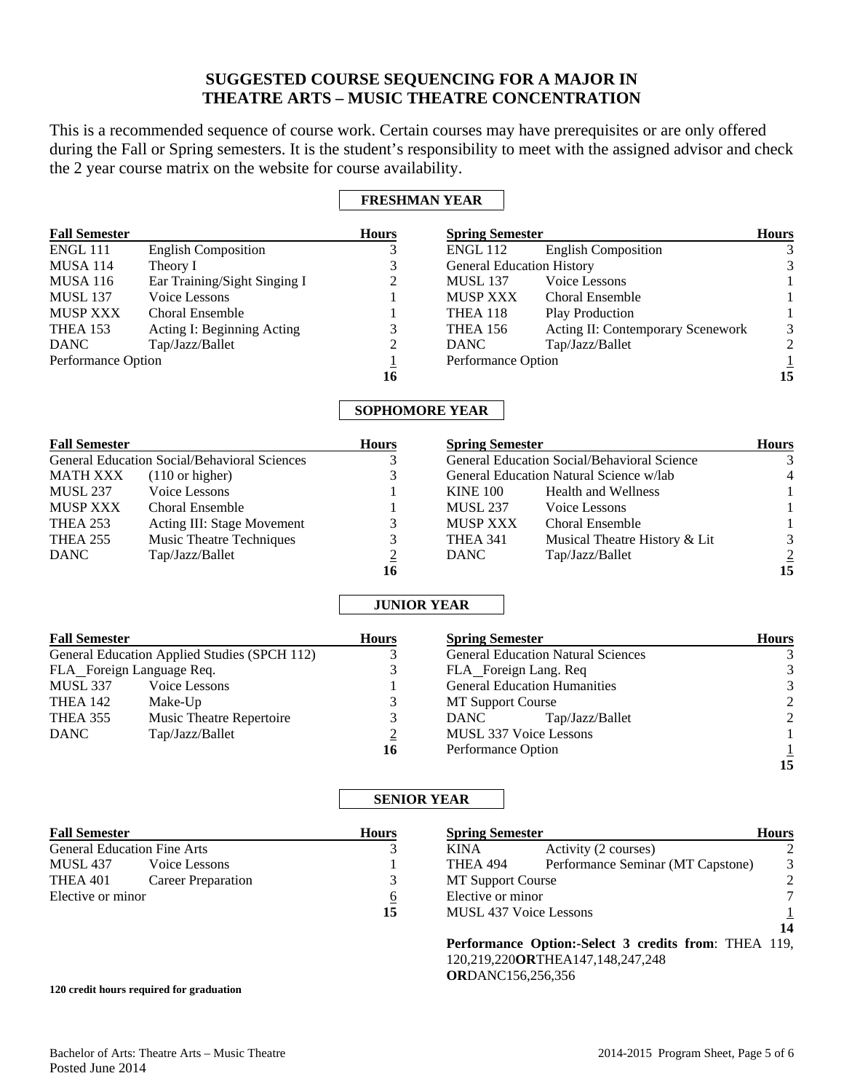## **SUGGESTED COURSE SEQUENCING FOR A MAJOR IN THEATRE ARTS – MUSIC THEATRE CONCENTRATION**

This is a recommended sequence of course work. Certain courses may have prerequisites or are only offered during the Fall or Spring semesters. It is the student's responsibility to meet with the assigned advisor and check the 2 year course matrix on the website for course availability.

### **FRESHMAN YEAR**

| <b>Fall Semester</b>               |                                                     | <b>Hours</b>          | <b>Spring Semester</b>           |                                                                                          | <b>Hours</b>                |
|------------------------------------|-----------------------------------------------------|-----------------------|----------------------------------|------------------------------------------------------------------------------------------|-----------------------------|
| <b>ENGL 111</b>                    | <b>English Composition</b>                          | 3                     | <b>ENGL 112</b>                  | <b>English Composition</b>                                                               | 3                           |
| <b>MUSA 114</b>                    | Theory I                                            | 3                     | <b>General Education History</b> |                                                                                          | $\mathfrak 3$               |
| <b>MUSA 116</b>                    | Ear Training/Sight Singing I                        | 2                     | <b>MUSL 137</b>                  | Voice Lessons                                                                            | 1                           |
| <b>MUSL 137</b>                    | Voice Lessons                                       | 1                     | <b>MUSP XXX</b>                  | Choral Ensemble                                                                          | 1                           |
| <b>MUSP XXX</b>                    | Choral Ensemble                                     | 1                     | <b>THEA 118</b>                  | <b>Play Production</b>                                                                   | $\mathbf{1}$                |
| <b>THEA 153</b>                    | Acting I: Beginning Acting                          | 3                     | <b>THEA 156</b>                  | Acting II: Contemporary Scenework                                                        | $\ensuremath{\mathfrak{Z}}$ |
| <b>DANC</b>                        | Tap/Jazz/Ballet                                     | $\overline{2}$        | <b>DANC</b>                      | Tap/Jazz/Ballet                                                                          | $\overline{2}$              |
| Performance Option                 |                                                     | $\mathbf 1$           | Performance Option               |                                                                                          | $\overline{1}$              |
|                                    |                                                     | 16                    |                                  |                                                                                          | 15                          |
|                                    |                                                     | <b>SOPHOMORE YEAR</b> |                                  |                                                                                          |                             |
| <b>Fall Semester</b>               |                                                     | <b>Hours</b>          | <b>Spring Semester</b>           |                                                                                          | <b>Hours</b>                |
|                                    | <b>General Education Social/Behavioral Sciences</b> | 3                     |                                  | General Education Social/Behavioral Science                                              | 3                           |
| <b>MATH XXX</b>                    | $(110 \text{ or higher})$                           | 3                     |                                  | General Education Natural Science w/lab                                                  | $\overline{4}$              |
| <b>MUSL 237</b>                    | Voice Lessons                                       | 1                     | <b>KINE 100</b>                  | <b>Health and Wellness</b>                                                               | $\mathbf{1}$                |
| <b>MUSP XXX</b>                    | Choral Ensemble                                     |                       | <b>MUSL 237</b>                  | Voice Lessons                                                                            | 1                           |
| THEA 253                           | Acting III: Stage Movement                          | 3                     | <b>MUSP XXX</b>                  | <b>Choral Ensemble</b>                                                                   | 1                           |
| THEA 255                           | <b>Music Theatre Techniques</b>                     | 3                     | <b>THEA 341</b>                  | Musical Theatre History & Lit                                                            | 3                           |
| <b>DANC</b>                        | Tap/Jazz/Ballet                                     | $\overline{2}$        | <b>DANC</b>                      | Tap/Jazz/Ballet                                                                          | $\overline{2}$              |
|                                    |                                                     | 16                    |                                  |                                                                                          | 15                          |
|                                    |                                                     | <b>JUNIOR YEAR</b>    |                                  |                                                                                          |                             |
| <b>Fall Semester</b>               |                                                     | Hours                 | <b>Spring Semester</b>           |                                                                                          | <b>Hours</b>                |
|                                    | General Education Applied Studies (SPCH 112)        | 3                     |                                  | <b>General Education Natural Sciences</b>                                                | 3                           |
| FLA_Foreign Language Req.          |                                                     | 3                     | FLA_Foreign Lang. Req            |                                                                                          | $\frac{3}{3}$               |
| MUSL 337                           | Voice Lessons                                       | 1                     |                                  | <b>General Education Humanities</b>                                                      |                             |
| THEA 142                           | Make-Up                                             | 3                     | MT Support Course                |                                                                                          | $\frac{2}{2}$               |
| THEA 355                           | Music Theatre Repertoire                            | 3                     | <b>DANC</b>                      | Tap/Jazz/Ballet                                                                          |                             |
| <b>DANC</b>                        | Tap/Jazz/Ballet                                     | $\overline{2}$        | MUSL 337 Voice Lessons           |                                                                                          | $\mathbf{1}$                |
|                                    |                                                     | 16                    | Performance Option               |                                                                                          |                             |
|                                    |                                                     |                       |                                  |                                                                                          | $\frac{1}{15}$              |
|                                    |                                                     | <b>SENIOR YEAR</b>    |                                  |                                                                                          |                             |
| <b>Fall Semester</b>               |                                                     | <b>Hours</b>          | <b>Spring Semester</b>           |                                                                                          | <b>Hours</b>                |
| <b>General Education Fine Arts</b> |                                                     | 3                     | <b>KINA</b>                      | Activity (2 courses)                                                                     | $\overline{c}$              |
| <b>MUSL 437</b>                    | Voice Lessons                                       | 1                     | THEA 494                         | Performance Seminar (MT Capstone)                                                        | 3                           |
| THEA 401                           | <b>Career Preparation</b>                           | 3                     | <b>MT Support Course</b>         |                                                                                          | $\overline{c}$              |
| Elective or minor                  |                                                     | $6 \overline{6}$      | Elective or minor                |                                                                                          | $\tau$                      |
|                                    |                                                     | 15                    | MUSL 437 Voice Lessons           |                                                                                          | $\overline{1}$              |
|                                    |                                                     |                       |                                  |                                                                                          | 14                          |
|                                    |                                                     |                       | <b>ORDANC156,256,356</b>         | Performance Option:-Select 3 credits from: THEA 119,<br>120,219,220ORTHEA147,148,247,248 |                             |
|                                    | 120 credit hours required for graduation            |                       |                                  |                                                                                          |                             |

#### Bachelor of Arts: Theatre Arts – Music Theatre 2014-2015 Program Sheet, Page 5 of 6 Posted June 2014